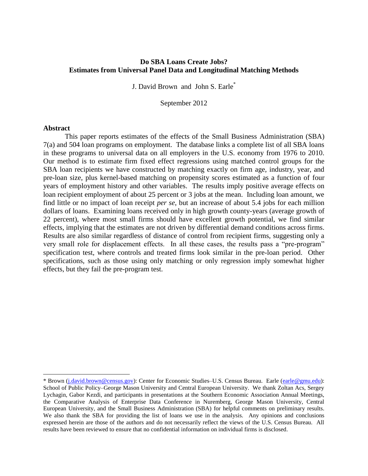## **Do SBA Loans Create Jobs? Estimates from Universal Panel Data and Longitudinal Matching Methods**

J. David Brown and John S. Earle\*

September 2012

#### **Abstract**

 $\overline{a}$ 

This paper reports estimates of the effects of the Small Business Administration (SBA) 7(a) and 504 loan programs on employment. The database links a complete list of all SBA loans in these programs to universal data on all employers in the U.S. economy from 1976 to 2010. Our method is to estimate firm fixed effect regressions using matched control groups for the SBA loan recipients we have constructed by matching exactly on firm age, industry, year, and pre-loan size, plus kernel-based matching on propensity scores estimated as a function of four years of employment history and other variables. The results imply positive average effects on loan recipient employment of about 25 percent or 3 jobs at the mean. Including loan amount, we find little or no impact of loan receipt *per se*, but an increase of about 5.4 jobs for each million dollars of loans. Examining loans received only in high growth county-years (average growth of 22 percent), where most small firms should have excellent growth potential, we find similar effects, implying that the estimates are not driven by differential demand conditions across firms. Results are also similar regardless of distance of control from recipient firms, suggesting only a very small role for displacement effects. In all these cases, the results pass a "pre-program" specification test, where controls and treated firms look similar in the pre-loan period. Other specifications, such as those using only matching or only regression imply somewhat higher effects, but they fail the pre-program test.

<sup>\*</sup> Brown [\(j.david.brown@census.gov\)](mailto:j.david.brown@census.gov): Center for Economic Studies–U.S. Census Bureau. Earle [\(earle@gmu.edu\)](mailto:earle@gmu.edu): School of Public Policy–George Mason University and Central European University. We thank Zoltan Acs, Sergey Lychagin, Gabor Kezdi, and participants in presentations at the Southern Economic Association Annual Meetings, the Comparative Analysis of Enterprise Data Conference in Nuremberg, George Mason University, Central European University, and the Small Business Administration (SBA) for helpful comments on preliminary results. We also thank the SBA for providing the list of loans we use in the analysis. Any opinions and conclusions expressed herein are those of the authors and do not necessarily reflect the views of the U.S. Census Bureau. All results have been reviewed to ensure that no confidential information on individual firms is disclosed.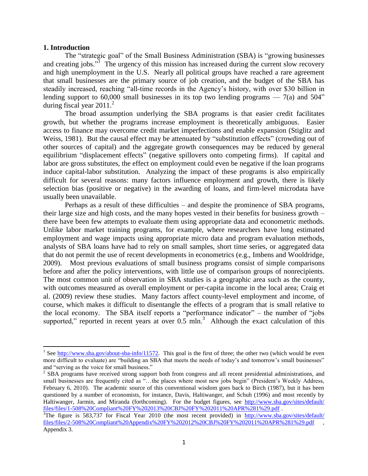#### **1. Introduction**

 $\overline{a}$ 

The "strategic goal" of the Small Business Administration (SBA) is "growing businesses and creating jobs."<sup>I</sup> The urgency of this mission has increased during the current slow recovery and high unemployment in the U.S. Nearly all political groups have reached a rare agreement that small businesses are the primary source of job creation, and the budget of the SBA has steadily increased, reaching "all-time records in the Agency's history, with over \$30 billion in lending support to 60,000 small businesses in its top two lending programs  $-7(a)$  and 504" during fiscal year  $2011<sup>2</sup>$ 

The broad assumption underlying the SBA programs is that easier credit facilitates growth, but whether the programs increase employment is theoretically ambiguous. Easier access to finance may overcome credit market imperfections and enable expansion (Stiglitz and Weiss, 1981). But the causal effect may be attenuated by "substitution effects" (crowding out of other sources of capital) and the aggregate growth consequences may be reduced by general equilibrium "displacement effects" (negative spillovers onto competing firms). If capital and labor are gross substitutes, the effect on employment could even be negative if the loan programs induce capital-labor substitution. Analyzing the impact of these programs is also empirically difficult for several reasons: many factors influence employment and growth, there is likely selection bias (positive or negative) in the awarding of loans, and firm-level microdata have usually been unavailable.

Perhaps as a result of these difficulties – and despite the prominence of SBA programs, their large size and high costs, and the many hopes vested in their benefits for business growth – there have been few attempts to evaluate them using appropriate data and econometric methods. Unlike labor market training programs, for example, where researchers have long estimated employment and wage impacts using appropriate micro data and program evaluation methods, analysts of SBA loans have had to rely on small samples, short time series, or aggregated data that do not permit the use of recent developments in econometrics (e.g., Imbens and Wooldridge, 2009). Most previous evaluations of small business programs consist of simple comparisons before and after the policy interventions, with little use of comparison groups of nonrecipients. The most common unit of observation in SBA studies is a geographic area such as the county, with outcomes measured as overall employment or per-capita income in the local area; Craig et al. (2009) review these studies. Many factors affect county-level employment and income, of course, which makes it difficult to disentangle the effects of a program that is small relative to the local economy. The SBA itself reports a "performance indicator" – the number of "jobs supported," reported in recent years at over  $0.5$  mln.<sup>3</sup> Although the exact calculation of this

<sup>&</sup>lt;sup>1</sup> See [http://www.sba.gov/about-sba-info/11572.](http://www.sba.gov/about-sba-info/11572) This goal is the first of three; the other two (which would be even more difficult to evaluate) are "building an SBA that meets the needs of today's and tomorrow's small businesses" and "serving as the voice for small business."

<sup>&</sup>lt;sup>2</sup> SBA programs have received strong support both from congress and all recent presidential administrations, and small businesses are frequently cited as "...the places where most new jobs begin" (President's Weekly Address, February 6, 2010). The academic source of this conventional wisdom goes back to Birch (1987), but it has been questioned by a number of economists, for instance, Davis, Haltiwanger, and Schuh (1996) and most recently by Haltiwanger, Jarmin, and Miranda (forthcoming). For the budget figures, see [http://www.sba.gov/sites/default/](http://www.sba.gov/sites/default/%20files/files/1-508%20Compliant%20FY%202013%20CBJ%20FY%202011%20APR%281%29.pdf)  [files/files/1-508%20Compliant%20FY%202013%20CBJ%20FY%202011%20APR%281%29.pdf](http://www.sba.gov/sites/default/%20files/files/1-508%20Compliant%20FY%202013%20CBJ%20FY%202011%20APR%281%29.pdf) .

<sup>&</sup>lt;sup>3</sup>The figure is 583,737 for Fiscal Year 2010 (the most recent provided) in http://www.sba.gov/sites/default/ [files/files/2-508%20Compliant%20Appendix%20FY%202012%20CBJ%20FY%202011%20APR%281%29.pdf](http://www.sba.gov/sites/default/%20files/files/2-508%20Compliant%20Appendix%20FY%202012%20CBJ%20FY%202011%20APR%281%29.pdf) , Appendix 3.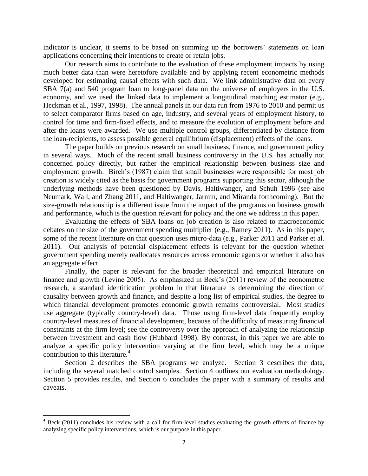indicator is unclear, it seems to be based on summing up the borrowers' statements on loan applications concerning their intentions to create or retain jobs.

Our research aims to contribute to the evaluation of these employment impacts by using much better data than were heretofore available and by applying recent econometric methods developed for estimating causal effects with such data. We link administrative data on every SBA 7(a) and 540 program loan to long-panel data on the universe of employers in the U.S. economy, and we used the linked data to implement a longitudinal matching estimator (e.g., Heckman et al., 1997, 1998). The annual panels in our data run from 1976 to 2010 and permit us to select comparator firms based on age, industry, and several years of employment history, to control for time and firm-fixed effects, and to measure the evolution of employment before and after the loans were awarded. We use multiple control groups, differentiated by distance from the loan-recipients, to assess possible general equilibrium (displacement) effects of the loans.

The paper builds on previous research on small business, finance, and government policy in several ways. Much of the recent small business controversy in the U.S. has actually not concerned policy directly, but rather the empirical relationship between business size and employment growth. Birch's (1987) claim that small businesses were responsible for most job creation is widely cited as the basis for government programs supporting this sector, although the underlying methods have been questioned by Davis, Haltiwanger, and Schuh 1996 (see also Neumark, Wall, and Zhang 2011, and Haltiwanger, Jarmin, and Miranda forthcoming). But the size-growth relationship is a different issue from the impact of the programs on business growth and performance, which is the question relevant for policy and the one we address in this paper.

Evaluating the effects of SBA loans on job creation is also related to macroeconomic debates on the size of the government spending multiplier (e.g., Ramey 2011). As in this paper, some of the recent literature on that question uses micro-data (e.g., Parker 2011 and Parker et al. 2011). Our analysis of potential displacement effects is relevant for the question whether government spending merely reallocates resources across economic agents or whether it also has an aggregate effect.

Finally, the paper is relevant for the broader theoretical and empirical literature on finance and growth (Levine 2005). As emphasized in Beck's (2011) review of the econometric research, a standard identification problem in that literature is determining the direction of causality between growth and finance, and despite a long list of empirical studies, the degree to which financial development promotes economic growth remains controversial. Most studies use aggregate (typically country-level) data. Those using firm-level data frequently employ country-level measures of financial development, because of the difficulty of measuring financial constraints at the firm level; see the controversy over the approach of analyzing the relationship between investment and cash flow (Hubbard 1998). By contrast, in this paper we are able to analyze a specific policy intervention varying at the firm level, which may be a unique contribution to this literature.<sup>4</sup>

Section 2 describes the SBA programs we analyze. Section 3 describes the data, including the several matched control samples. Section 4 outlines our evaluation methodology. Section 5 provides results, and Section 6 concludes the paper with a summary of results and caveats.

 $\overline{\phantom{a}}$ 

 $4$  Beck (2011) concludes his review with a call for firm-level studies evaluating the growth effects of finance by analyzing specific policy interventions, which is our purpose in this paper.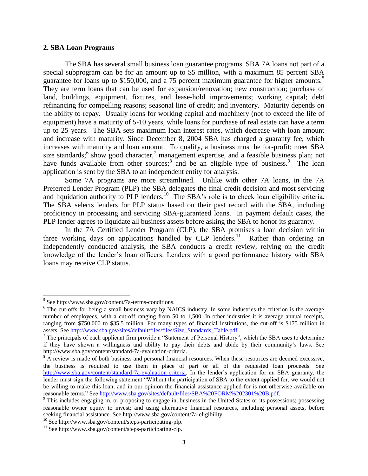### **2. SBA Loan Programs**

The SBA has several small business loan guarantee programs. SBA 7A loans not part of a special subprogram can be for an amount up to \$5 million, with a maximum 85 percent SBA guarantee for loans up to \$150,000, and a 75 percent maximum guarantee for higher amounts.<sup>5</sup> They are term loans that can be used for expansion/renovation; new construction; purchase of land, buildings, equipment, fixtures, and lease-hold improvements; working capital; debt refinancing for compelling reasons; seasonal line of credit; and inventory. Maturity depends on the ability to repay. Usually loans for working capital and machinery (not to exceed the life of equipment) have a maturity of 5-10 years, while loans for purchase of real estate can have a term up to 25 years. The SBA sets maximum loan interest rates, which decrease with loan amount and increase with maturity. Since December 8, 2004 SBA has charged a guaranty fee, which increases with maturity and loan amount. To qualify, a business must be for-profit; meet SBA size standards;<sup>6</sup> show good character,<sup>7</sup> management expertise, and a feasible business plan; not have funds available from other sources;  $\delta$  and be an eligible type of business. <sup>9</sup> The loan application is sent by the SBA to an independent entity for analysis.

Some 7A programs are more streamlined. Unlike with other 7A loans, in the 7A Preferred Lender Program (PLP) the SBA delegates the final credit decision and most servicing and liquidation authority to PLP lenders.<sup>10</sup> The SBA's role is to check loan eligibility criteria. The SBA selects lenders for PLP status based on their past record with the SBA, including proficiency in processing and servicing SBA-guaranteed loans. In payment default cases, the PLP lender agrees to liquidate all business assets before asking the SBA to honor its guaranty.

In the 7A Certified Lender Program (CLP), the SBA promises a loan decision within three working days on applications handled by CLP lenders.<sup>11</sup> Rather than ordering an independently conducted analysis, the SBA conducts a credit review, relying on the credit knowledge of the lender's loan officers. Lenders with a good performance history with SBA loans may receive CLP status.

l

<sup>&</sup>lt;sup>5</sup> See http://www.sba.gov/content/7a-terms-conditions.

<sup>&</sup>lt;sup>6</sup> The cut-offs for being a small business vary by NAICS industry. In some industries the criterion is the average number of employees, with a cut-off ranging from 50 to 1,500. In other industries it is average annual receipts, ranging from \$750,000 to \$35.5 million. For many types of financial institutions, the cut-off is \$175 million in assets. See [http://www.sba.gov/sites/default/files/files/Size\\_Standards\\_Table.pdf.](http://www.sba.gov/sites/default/files/files/Size_Standards_Table.pdf)

The principals of each applicant firm provide a "Statement of Personal History", which the SBA uses to determine if they have shown a willingness and ability to pay their debts and abide by their community's laws. See http://www.sba.gov/content/standard-7a-evaluation-criteria.

<sup>&</sup>lt;sup>8</sup> A review is made of both business and personal financial resources. When these resources are deemed excessive, the business is required to use them in place of part or all of the requested loan proceeds. See [http://www.sba.gov/content/standard-7a-evaluation-criteria.](http://www.sba.gov/content/standard-7a-evaluation-criteria) In the lender's application for an SBA guaranty, the lender must sign the following statement "Without the participation of SBA to the extent applied for, we would not be willing to make this loan, and in our opinion the financial assistance applied for is not otherwise available on reasonable terms." See [http://www.sba.gov/sites/default/files/SBA%20FORM%202301%20B.pdf.](http://www.sba.gov/sites/default/files/SBA%20FORM%202301%20B.pdf)

<sup>&</sup>lt;sup>9</sup> This includes engaging in, or proposing to engage in, business in the United States or its possessions; possessing reasonable owner equity to invest; and using alternative financial resources, including personal assets, before seeking financial assistance. See http://www.sba.gov/content/7a-eligibility.

<sup>10</sup> See http://www.sba.gov/content/steps-participating-plp.

<sup>&</sup>lt;sup>11</sup> See http://www.sba.gov/content/steps-participating-clp.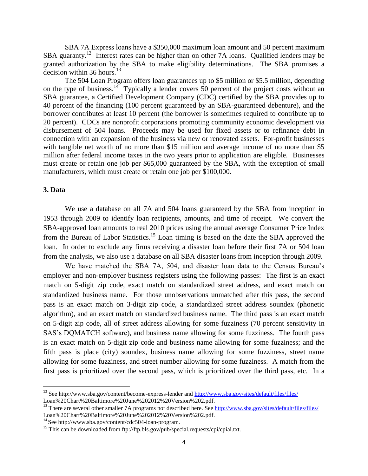SBA 7A Express loans have a \$350,000 maximum loan amount and 50 percent maximum SBA guaranty.<sup>12</sup> Interest rates can be higher than on other 7A loans. Qualified lenders may be granted authorization by the SBA to make eligibility determinations. The SBA promises a decision within 36 hours. $13$ 

The 504 Loan Program offers loan guarantees up to \$5 million or \$5.5 million, depending on the type of business.<sup>14</sup> Typically a lender covers 50 percent of the project costs without an SBA guarantee, a Certified Development Company (CDC) certified by the SBA provides up to 40 percent of the financing (100 percent guaranteed by an SBA-guaranteed debenture), and the borrower contributes at least 10 percent (the borrower is sometimes required to contribute up to 20 percent). CDCs are nonprofit corporations promoting community economic development via disbursement of 504 loans. Proceeds may be used for fixed assets or to refinance debt in connection with an expansion of the business via new or renovated assets. For-profit businesses with tangible net worth of no more than \$15 million and average income of no more than \$5 million after federal income taxes in the two years prior to application are eligible. Businesses must create or retain one job per \$65,000 guaranteed by the SBA, with the exception of small manufacturers, which must create or retain one job per \$100,000.

## **3. Data**

 $\overline{\phantom{a}}$ 

We use a database on all 7A and 504 loans guaranteed by the SBA from inception in 1953 through 2009 to identify loan recipients, amounts, and time of receipt. We convert the SBA-approved loan amounts to real 2010 prices using the annual average Consumer Price Index from the Bureau of Labor Statistics.<sup>15</sup> Loan timing is based on the date the SBA approved the loan. In order to exclude any firms receiving a disaster loan before their first 7A or 504 loan from the analysis, we also use a database on all SBA disaster loans from inception through 2009.

We have matched the SBA 7A, 504, and disaster loan data to the Census Bureau's employer and non-employer business registers using the following passes: The first is an exact match on 5-digit zip code, exact match on standardized street address, and exact match on standardized business name. For those unobservations unmatched after this pass, the second pass is an exact match on 3-digit zip code, a standardized street address soundex (phonetic algorithm), and an exact match on standardized business name. The third pass is an exact match on 5-digit zip code, all of street address allowing for some fuzziness (70 percent sensitivity in SAS's DQMATCH software), and business name allowing for some fuzziness. The fourth pass is an exact match on 5-digit zip code and business name allowing for some fuzziness; and the fifth pass is place (city) soundex, business name allowing for some fuzziness, street name allowing for some fuzziness, and street number allowing for some fuzziness. A match from the first pass is prioritized over the second pass, which is prioritized over the third pass, etc. In a

<sup>&</sup>lt;sup>12</sup> See<http://www.sba.gov/content/become-express-lender> and<http://www.sba.gov/sites/default/files/files/> Loan%20Chart%20Baltimore%20June%202012%20Version%202.pdf.

<sup>&</sup>lt;sup>13</sup> There are several other smaller 7A programs not described here. See<http://www.sba.gov/sites/default/files/files/> Loan%20Chart%20Baltimore%20June%202012%20Version%202.pdf.

<sup>14</sup> See http://www.sba.gov/content/cdc504-loan-program.

<sup>&</sup>lt;sup>15</sup> This can be downloaded from ftp://ftp.bls.gov/pub/special.requests/cpi/cpiai.txt.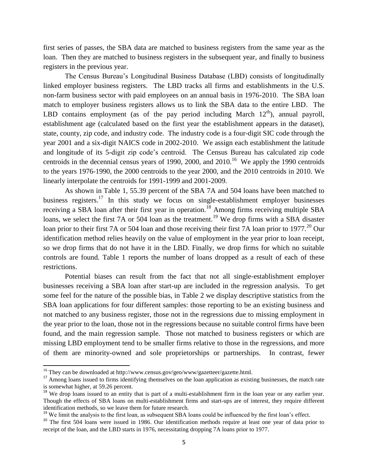first series of passes, the SBA data are matched to business registers from the same year as the loan. Then they are matched to business registers in the subsequent year, and finally to business registers in the previous year.

The Census Bureau's Longitudinal Business Database (LBD) consists of longitudinally linked employer business registers. The LBD tracks all firms and establishments in the U.S. non-farm business sector with paid employees on an annual basis in 1976-2010. The SBA loan match to employer business registers allows us to link the SBA data to the entire LBD. The LBD contains employment (as of the pay period including March  $12<sup>th</sup>$ ), annual payroll, establishment age (calculated based on the first year the establishment appears in the dataset), state, county, zip code, and industry code. The industry code is a four-digit SIC code through the year 2001 and a six-digit NAICS code in 2002-2010. We assign each establishment the latitude and longitude of its 5-digit zip code's centroid. The Census Bureau has calculated zip code centroids in the decennial census years of 1990, 2000, and  $2010$ .<sup>16</sup> We apply the 1990 centroids to the years 1976-1990, the 2000 centroids to the year 2000, and the 2010 centroids in 2010. We linearly interpolate the centroids for 1991-1999 and 2001-2009.

As shown in Table 1, 55.39 percent of the SBA 7A and 504 loans have been matched to business registers.<sup>17</sup> In this study we focus on single-establishment employer businesses receiving a SBA loan after their first year in operation.<sup>18</sup> Among firms receiving multiple SBA loans, we select the first 7A or 504 loan as the treatment.<sup>19</sup> We drop firms with a SBA disaster loan prior to their first 7A or 504 loan and those receiving their first 7A loan prior to 1977.<sup>20</sup> Our identification method relies heavily on the value of employment in the year prior to loan receipt, so we drop firms that do not have it in the LBD. Finally, we drop firms for which no suitable controls are found. Table 1 reports the number of loans dropped as a result of each of these restrictions.

Potential biases can result from the fact that not all single-establishment employer businesses receiving a SBA loan after start-up are included in the regression analysis. To get some feel for the nature of the possible bias, in Table 2 we display descriptive statistics from the SBA loan applications for four different samples: those reporting to be an existing business and not matched to any business register, those not in the regressions due to missing employment in the year prior to the loan, those not in the regressions because no suitable control firms have been found, and the main regression sample. Those not matched to business registers or which are missing LBD employment tend to be smaller firms relative to those in the regressions, and more of them are minority-owned and sole proprietorships or partnerships. In contrast, fewer

 $\overline{\phantom{a}}$ 

<sup>&</sup>lt;sup>16</sup> They can be downloaded at http://www.census.gov/geo/www/gazetteer/gazette.html.

<sup>&</sup>lt;sup>17</sup> Among loans issued to firms identifying themselves on the loan application as existing businesses, the match rate is somewhat higher, at 59.26 percent.

<sup>&</sup>lt;sup>18</sup> We drop loans issued to an entity that is part of a multi-establishment firm in the loan year or any earlier year. Though the effects of SBA loans on multi-establishment firms and start-ups are of interest, they require different identification methods, so we leave them for future research.

<sup>&</sup>lt;sup>19</sup> We limit the analysis to the first loan, as subsequent SBA loans could be influenced by the first loan's effect.

<sup>&</sup>lt;sup>20</sup> The first 504 loans were issued in 1986. Our identification methods require at least one year of data prior to receipt of the loan, and the LBD starts in 1976, necessitating dropping 7A loans prior to 1977.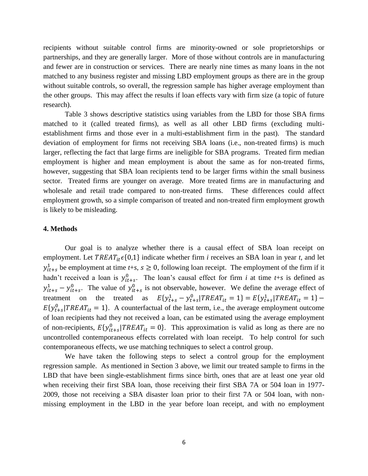recipients without suitable control firms are minority-owned or sole proprietorships or partnerships, and they are generally larger. More of those without controls are in manufacturing and fewer are in construction or services. There are nearly nine times as many loans in the not matched to any business register and missing LBD employment groups as there are in the group without suitable controls, so overall, the regression sample has higher average employment than the other groups. This may affect the results if loan effects vary with firm size (a topic of future research).

Table 3 shows descriptive statistics using variables from the LBD for those SBA firms matched to it (called treated firms), as well as all other LBD firms (excluding multiestablishment firms and those ever in a multi-establishment firm in the past). The standard deviation of employment for firms not receiving SBA loans (i.e., non-treated firms) is much larger, reflecting the fact that large firms are ineligible for SBA programs. Treated firm median employment is higher and mean employment is about the same as for non-treated firms, however, suggesting that SBA loan recipients tend to be larger firms within the small business sector. Treated firms are younger on average. More treated firms are in manufacturing and wholesale and retail trade compared to non-treated firms. These differences could affect employment growth, so a simple comparison of treated and non-treated firm employment growth is likely to be misleading.

#### **4. Methods**

Our goal is to analyze whether there is a causal effect of SBA loan receipt on employment. Let  $TREAT_{it} \epsilon \{0,1\}$  indicate whether firm *i* receives an SBA loan in year *t*, and let  $b_{it+s}$  be employment at time  $t+s$ ,  $s \ge 0$ , following loan receipt. The employment of the firm if it hadn't received a loan is  $y_{it+s}^0$ . The loan's causal effect for firm *i* at time *t*+*s* is defined as  $y_{it+s}^1 - y_{it+s}^0$ . The value of  $y_{it+s}^0$  is not observable, however. We define the average effect of treatment on the treated as  $E{y<sub>t+s</sub><sup>1</sup> - y<sub>t+s</sub><sup>0</sup>}|TREAT<sub>it</sub> = 1} = E{y<sub>t+s</sub><sup>1</sup>}|TREAT<sub>it</sub> = 1} E{y<sub>t+s</sub><sup>0</sup>}|TREAT<sub>it</sub> = 1$ . A counterfactual of the last term, i.e., the average employment outcome of loan recipients had they not received a loan, can be estimated using the average employment of non-recipients,  $E{y_{it+s}^0}$  (*TREAT<sub>it</sub>* = 0). This approximation is valid as long as there are no uncontrolled contemporaneous effects correlated with loan receipt. To help control for such contemporaneous effects, we use matching techniques to select a control group.

We have taken the following steps to select a control group for the employment regression sample. As mentioned in Section 3 above, we limit our treated sample to firms in the LBD that have been single-establishment firms since birth, ones that are at least one year old when receiving their first SBA loan, those receiving their first SBA 7A or 504 loan in 1977- 2009, those not receiving a SBA disaster loan prior to their first 7A or 504 loan, with nonmissing employment in the LBD in the year before loan receipt, and with no employment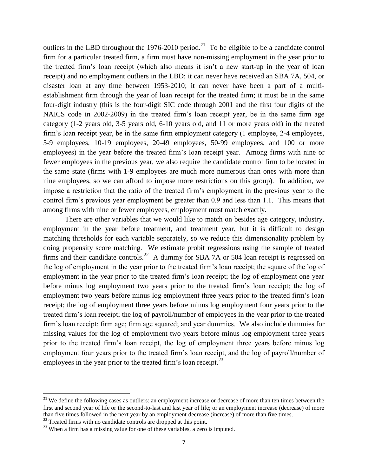outliers in the LBD throughout the  $1976-2010$  period.<sup>21</sup> To be eligible to be a candidate control firm for a particular treated firm, a firm must have non-missing employment in the year prior to the treated firm's loan receipt (which also means it isn't a new start-up in the year of loan receipt) and no employment outliers in the LBD; it can never have received an SBA 7A, 504, or disaster loan at any time between 1953-2010; it can never have been a part of a multiestablishment firm through the year of loan receipt for the treated firm; it must be in the same four-digit industry (this is the four-digit SIC code through 2001 and the first four digits of the NAICS code in 2002-2009) in the treated firm's loan receipt year, be in the same firm age category (1-2 years old, 3-5 years old, 6-10 years old, and 11 or more years old) in the treated firm's loan receipt year, be in the same firm employment category (1 employee, 2-4 employees, 5-9 employees, 10-19 employees, 20-49 employees, 50-99 employees, and 100 or more employees) in the year before the treated firm's loan receipt year. Among firms with nine or fewer employees in the previous year, we also require the candidate control firm to be located in the same state (firms with 1-9 employees are much more numerous than ones with more than nine employees, so we can afford to impose more restrictions on this group). In addition, we impose a restriction that the ratio of the treated firm's employment in the previous year to the control firm's previous year employment be greater than 0.9 and less than 1.1. This means that among firms with nine or fewer employees, employment must match exactly.

There are other variables that we would like to match on besides age category, industry, employment in the year before treatment, and treatment year, but it is difficult to design matching thresholds for each variable separately, so we reduce this dimensionality problem by doing propensity score matching. We estimate probit regressions using the sample of treated firms and their candidate controls.<sup>22</sup> A dummy for SBA 7A or 504 loan receipt is regressed on the log of employment in the year prior to the treated firm's loan receipt; the square of the log of employment in the year prior to the treated firm's loan receipt; the log of employment one year before minus log employment two years prior to the treated firm's loan receipt; the log of employment two years before minus log employment three years prior to the treated firm's loan receipt; the log of employment three years before minus log employment four years prior to the treated firm's loan receipt; the log of payroll/number of employees in the year prior to the treated firm's loan receipt; firm age; firm age squared; and year dummies. We also include dummies for missing values for the log of employment two years before minus log employment three years prior to the treated firm's loan receipt, the log of employment three years before minus log employment four years prior to the treated firm's loan receipt, and the log of payroll/number of employees in the year prior to the treated firm's loan receipt. $^{23}$ 

l

 $21$  We define the following cases as outliers: an employment increase or decrease of more than ten times between the first and second year of life or the second-to-last and last year of life; or an employment increase (decrease) of more than five times followed in the next year by an employment decrease (increase) of more than five times.

 $^{22}$  Treated firms with no candidate controls are dropped at this point.

 $23$  When a firm has a missing value for one of these variables, a zero is imputed.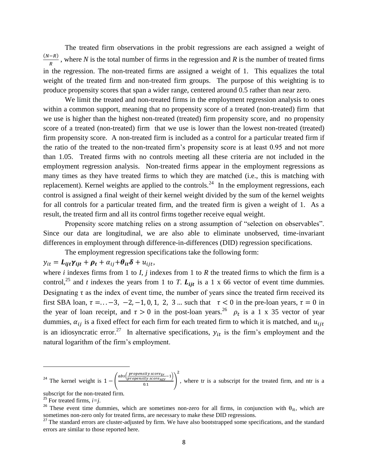The treated firm observations in the probit regressions are each assigned a weight of  $(N-R)$  $\frac{R}{R}$ , where *N* is the total number of firms in the regression and *R* is the number of treated firms in the regression. The non-treated firms are assigned a weight of 1. This equalizes the total weight of the treated firm and non-treated firm groups. The purpose of this weighting is to produce propensity scores that span a wider range, centered around 0.5 rather than near zero.

We limit the treated and non-treated firms in the employment regression analysis to ones within a common support, meaning that no propensity score of a treated (non-treated) firm that we use is higher than the highest non-treated (treated) firm propensity score, and no propensity score of a treated (non-treated) firm that we use is lower than the lowest non-treated (treated) firm propensity score. A non-treated firm is included as a control for a particular treated firm if the ratio of the treated to the non-treated firm's propensity score is at least 0.95 and not more than 1.05. Treated firms with no controls meeting all these criteria are not included in the employment regression analysis. Non-treated firms appear in the employment regressions as many times as they have treated firms to which they are matched (i.e., this is matching with replacement). Kernel weights are applied to the controls.<sup>24</sup> In the employment regressions, each control is assigned a final weight of their kernel weight divided by the sum of the kernel weights for all controls for a particular treated firm, and the treated firm is given a weight of 1. As a result, the treated firm and all its control firms together receive equal weight.

Propensity score matching relies on a strong assumption of "selection on observables". Since our data are longitudinal, we are also able to eliminate unobserved, time-invariant differences in employment through difference-in-differences (DID) regression specifications.

The employment regression specifications take the following form:

$$
y_{it} = L_{ijt}\gamma_{ijt} + \rho_t + \alpha_{ij} + \theta_{it}\delta + u_{ijt},
$$

where  $i$  indexes firms from 1 to  $I$ ,  $j$  indexes from 1 to  $R$  the treated firms to which the firm is a control,<sup>25</sup> and *t* indexes the years from 1 to *T*.  $L_{ijt}$  is a 1 x 66 vector of event time dummies. Designating  $\tau$  as the index of event time, the number of years since the treated firm received its first SBA loan,  $\tau = ... -3$ ,  $-2$ ,  $-1$ , 0, 1, 2, 3 ... such that  $\tau < 0$  in the pre-loan years,  $\tau = 0$  in the year of loan receipt, and  $\tau > 0$  in the post-loan years.<sup>26</sup>  $\rho_t$  is a 1 x 35 vector of year dummies,  $\alpha_{ij}$  is a fixed effect for each firm for each treated firm to which it is matched, and  $u_{ij}$ is an idiosyncratic error.<sup>27</sup> In alternative specifications,  $y_{it}$  is the firm's employment and the natural logarithm of the firm's employment.

$$
^{24}
$$
 The Kernel weight is  $1 - \left(\frac{abs(\frac{property\ score_{tr}}{property\ score_{tr}} - 1)}{0.1}\right)^2$ , where tr is a subscript for the treated firm, and ntr is a subscript for the open tract of firm.

subscript for the non-treated firm.

<sup>&</sup>lt;sup>25</sup> For treated firms,  $i=j$ .

<sup>&</sup>lt;sup>26</sup> These event time dummies, which are sometimes non-zero for all firms, in conjunction with  $\theta_{it}$ , which are sometimes non-zero only for treated firms, are necessary to make these DID regressions.

<sup>&</sup>lt;sup>27</sup> The standard errors are cluster-adjusted by firm. We have also bootstrapped some specifications, and the standard errors are similar to those reported here.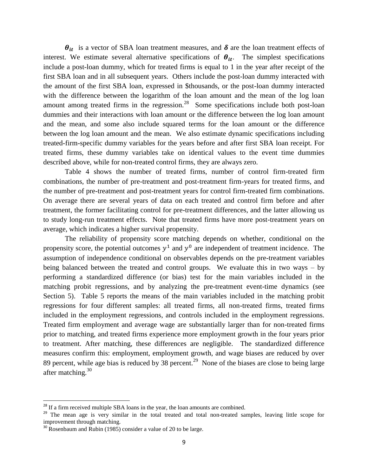$\theta_{it}$  is a vector of SBA loan treatment measures, and  $\delta$  are the loan treatment effects of interest. We estimate several alternative specifications of  $\theta_{it}$ . The simplest specifications include a post-loan dummy, which for treated firms is equal to 1 in the year after receipt of the first SBA loan and in all subsequent years. Others include the post-loan dummy interacted with the amount of the first SBA loan, expressed in \$thousands, or the post-loan dummy interacted with the difference between the logarithm of the loan amount and the mean of the log loan amount among treated firms in the regression. $^{28}$  Some specifications include both post-loan dummies and their interactions with loan amount or the difference between the log loan amount and the mean, and some also include squared terms for the loan amount or the difference between the log loan amount and the mean. We also estimate dynamic specifications including treated-firm-specific dummy variables for the years before and after first SBA loan receipt. For treated firms, these dummy variables take on identical values to the event time dummies described above, while for non-treated control firms, they are always zero.

Table 4 shows the number of treated firms, number of control firm-treated firm combinations, the number of pre-treatment and post-treatment firm-years for treated firms, and the number of pre-treatment and post-treatment years for control firm-treated firm combinations. On average there are several years of data on each treated and control firm before and after treatment, the former facilitating control for pre-treatment differences, and the latter allowing us to study long-run treatment effects. Note that treated firms have more post-treatment years on average, which indicates a higher survival propensity.

The reliability of propensity score matching depends on whether, conditional on the propensity score, the potential outcomes  $y^1$  and  $y^0$  are independent of treatment incidence. The assumption of independence conditional on observables depends on the pre-treatment variables being balanced between the treated and control groups. We evaluate this in two ways – by performing a standardized difference (or bias) test for the main variables included in the matching probit regressions, and by analyzing the pre-treatment event-time dynamics (see Section 5). Table 5 reports the means of the main variables included in the matching probit regressions for four different samples: all treated firms, all non-treated firms, treated firms included in the employment regressions, and controls included in the employment regressions. Treated firm employment and average wage are substantially larger than for non-treated firms prior to matching, and treated firms experience more employment growth in the four years prior to treatment. After matching, these differences are negligible. The standardized difference measures confirm this: employment, employment growth, and wage biases are reduced by over 89 percent, while age bias is reduced by 38 percent.<sup>29</sup> None of the biases are close to being large after matching. $30$ 

 $\overline{\phantom{a}}$ 

<sup>&</sup>lt;sup>28</sup> If a firm received multiple SBA loans in the year, the loan amounts are combined.

<sup>&</sup>lt;sup>29</sup> The mean age is very similar in the total treated and total non-treated samples, leaving little scope for improvement through matching.

 $30 \text{ R}$  Rosenbaum and Rubin (1985) consider a value of 20 to be large.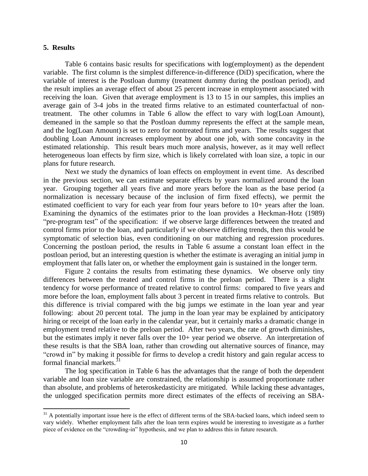## **5. Results**

 $\overline{\phantom{a}}$ 

Table 6 contains basic results for specifications with log(employment) as the dependent variable. The first column is the simplest difference-in-difference (DiD) specification, where the variable of interest is the Postloan dummy (treatment dummy during the postloan period), and the result implies an average effect of about 25 percent increase in employment associated with receiving the loan. Given that average employment is 13 to 15 in our samples, this implies an average gain of 3-4 jobs in the treated firms relative to an estimated counterfactual of nontreatment. The other columns in Table 6 allow the effect to vary with log(Loan Amount), demeaned in the sample so that the Postloan dummy represents the effect at the sample mean, and the log(Loan Amount) is set to zero for nontreated firms and years. The results suggest that doubling Loan Amount increases employment by about one job, with some concavity in the estimated relationship. This result bears much more analysis, however, as it may well reflect heterogeneous loan effects by firm size, which is likely correlated with loan size, a topic in our plans for future research.

Next we study the dynamics of loan effects on employment in event time. As described in the previous section, we can estimate separate effects by years normalized around the loan year. Grouping together all years five and more years before the loan as the base period (a normalization is necessary because of the inclusion of firm fixed effects), we permit the estimated coefficient to vary for each year from four years before to 10+ years after the loan. Examining the dynamics of the estimates prior to the loan provides a Heckman-Hotz (1989) "pre-program test" of the specification: if we observe large differences between the treated and control firms prior to the loan, and particularly if we observe differing trends, then this would be symptomatic of selection bias, even conditioning on our matching and regression procedures. Concerning the postloan period, the results in Table 6 assume a constant loan effect in the postloan period, but an interesting question is whether the estimate is averaging an initial jump in employment that falls later on, or whether the employment gain is sustained in the longer term.

Figure 2 contains the results from estimating these dynamics. We observe only tiny differences between the treated and control firms in the preloan period. There is a slight tendency for worse performance of treated relative to control firms: compared to five years and more before the loan, employment falls about 3 percent in treated firms relative to controls. But this difference is trivial compared with the big jumps we estimate in the loan year and year following: about 20 percent total. The jump in the loan year may be explained by anticipatory hiring or receipt of the loan early in the calendar year, but it certainly marks a dramatic change in employment trend relative to the preloan period. After two years, the rate of growth diminishes, but the estimates imply it never falls over the 10+ year period we observe. An interpretation of these results is that the SBA loan, rather than crowding out alternative sources of finance, may "crowd in" by making it possible for firms to develop a credit history and gain regular access to formal financial markets. $31$ 

The log specification in Table 6 has the advantages that the range of both the dependent variable and loan size variable are constrained, the relationship is assumed proportionate rather than absolute, and problems of heteroskedasticity are mitigated. While lacking these advantages, the unlogged specification permits more direct estimates of the effects of receiving an SBA-

 $31$  A potentially important issue here is the effect of different terms of the SBA-backed loans, which indeed seem to vary widely. Whether employment falls after the loan term expires would be interesting to investigate as a further piece of evidence on the "crowding-in" hypothesis, and we plan to address this in future research.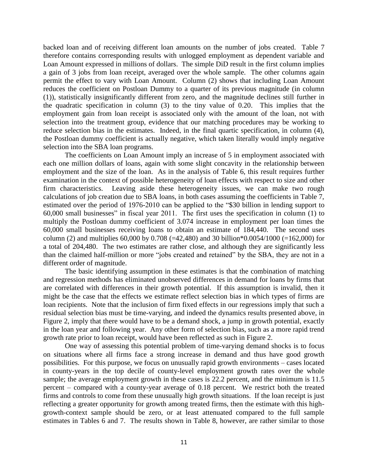backed loan and of receiving different loan amounts on the number of jobs created. Table 7 therefore contains corresponding results with unlogged employment as dependent variable and Loan Amount expressed in millions of dollars. The simple DiD result in the first column implies a gain of 3 jobs from loan receipt, averaged over the whole sample. The other columns again permit the effect to vary with Loan Amount. Column (2) shows that including Loan Amount reduces the coefficient on Postloan Dummy to a quarter of its previous magnitude (in column (1)), statistically insignificantly different from zero, and the magnitude declines still further in the quadratic specification in column (3) to the tiny value of 0.20. This implies that the employment gain from loan receipt is associated only with the amount of the loan, not with selection into the treatment group, evidence that our matching procedures may be working to reduce selection bias in the estimates. Indeed, in the final quartic specification, in column (4), the Postloan dummy coefficient is actually negative, which taken literally would imply negative selection into the SBA loan programs.

The coefficients on Loan Amount imply an increase of 5 in employment associated with each one million dollars of loans, again with some slight concavity in the relationship between employment and the size of the loan. As in the analysis of Table 6, this result requires further examination in the context of possible heterogeneity of loan effects with respect to size and other firm characteristics. Leaving aside these heterogeneity issues, we can make two rough calculations of job creation due to SBA loans, in both cases assuming the coefficients in Table 7, estimated over the period of 1976-2010 can be applied to the "\$30 billion in lending support to 60,000 small businesses" in fiscal year 2011. The first uses the specification in column (1) to multiply the Postloan dummy coefficient of 3.074 increase in employment per loan times the 60,000 small businesses receiving loans to obtain an estimate of 184,440. The second uses column (2) and multiplies 60,000 by 0.708 (=42,480) and 30 billion\*0.0054/1000 (=162,000) for a total of 204,480. The two estimates are rather close, and although they are significantly less than the claimed half-million or more "jobs created and retained" by the SBA, they are not in a different order of magnitude.

The basic identifying assumption in these estimates is that the combination of matching and regression methods has eliminated unobserved differences in demand for loans by firms that are correlated with differences in their growth potential. If this assumption is invalid, then it might be the case that the effects we estimate reflect selection bias in which types of firms are loan recipients. Note that the inclusion of firm fixed effects in our regressions imply that such a residual selection bias must be time-varying, and indeed the dynamics results presented above, in Figure 2, imply that there would have to be a demand shock, a jump in growth potential, exactly in the loan year and following year. Any other form of selection bias, such as a more rapid trend growth rate prior to loan receipt, would have been reflected as such in Figure 2.

One way of assessing this potential problem of time-varying demand shocks is to focus on situations where all firms face a strong increase in demand and thus have good growth possibilities. For this purpose, we focus on unusually rapid growth environments – cases located in county-years in the top decile of county-level employment growth rates over the whole sample; the average employment growth in these cases is 22.2 percent, and the minimum is 11.5 percent – compared with a county-year average of 0.18 percent. We restrict both the treated firms and controls to come from these unusually high growth situations. If the loan receipt is just reflecting a greater opportunity for growth among treated firms, then the estimate with this highgrowth-context sample should be zero, or at least attenuated compared to the full sample estimates in Tables 6 and 7. The results shown in Table 8, however, are rather similar to those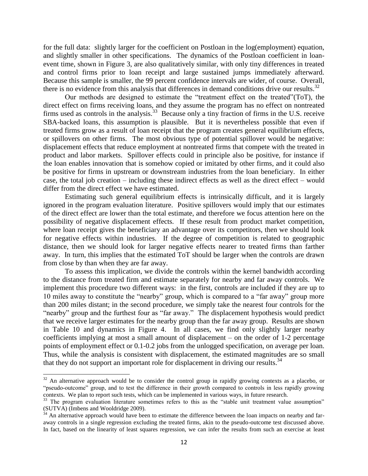for the full data: slightly larger for the coefficient on Postloan in the log(employment) equation, and slightly smaller in other specifications. The dynamics of the Postloan coefficient in loanevent time, shown in Figure 3, are also qualitatively similar, with only tiny differences in treated and control firms prior to loan receipt and large sustained jumps immediately afterward. Because this sample is smaller, the 99 percent confidence intervals are wider, of course. Overall, there is no evidence from this analysis that differences in demand conditions drive our results.<sup>32</sup>

Our methods are designed to estimate the "treatment effect on the treated"(ToT), the direct effect on firms receiving loans, and they assume the program has no effect on nontreated firms used as controls in the analysis.<sup>33</sup> Because only a tiny fraction of firms in the U.S. receive SBA-backed loans, this assumption is plausible. But it is nevertheless possible that even if treated firms grow as a result of loan receipt that the program creates general equilibrium effects, or spillovers on other firms. The most obvious type of potential spillover would be negative: displacement effects that reduce employment at nontreated firms that compete with the treated in product and labor markets. Spillover effects could in principle also be positive, for instance if the loan enables innovation that is somehow copied or imitated by other firms, and it could also be positive for firms in upstream or downstream industries from the loan beneficiary. In either case, the total job creation – including these indirect effects as well as the direct effect – would differ from the direct effect we have estimated.

Estimating such general equilibrium effects is intrinsically difficult, and it is largely ignored in the program evaluation literature. Positive spillovers would imply that our estimates of the direct effect are lower than the total estimate, and therefore we focus attention here on the possibility of negative displacement effects. If these result from product market competition, where loan receipt gives the beneficiary an advantage over its competitors, then we should look for negative effects within industries. If the degree of competition is related to geographic distance, then we should look for larger negative effects nearer to treated firms than farther away. In turn, this implies that the estimated ToT should be larger when the controls are drawn from close by than when they are far away.

To assess this implication, we divide the controls within the kernel bandwidth according to the distance from treated firm and estimate separately for nearby and far away controls. We implement this procedure two different ways: in the first, controls are included if they are up to 10 miles away to constitute the "nearby" group, which is compared to a "far away" group more than 200 miles distant; in the second procedure, we simply take the nearest four controls for the "nearby" group and the furthest four as "far away." The displacement hypothesis would predict that we receive larger estimates for the nearby group than the far away group. Results are shown in Table 10 and dynamics in Figure 4. In all cases, we find only slightly larger nearby coefficients implying at most a small amount of displacement – on the order of 1-2 percentage points of employment effect or 0.1-0.2 jobs from the unlogged specification, on average per loan. Thus, while the analysis is consistent with displacement, the estimated magnitudes are so small that they do not support an important role for displacement in driving our results.<sup>34</sup>

 $\overline{a}$ 

 $32$  An alternative approach would be to consider the control group in rapidly growing contexts as a placebo, or "pseudo-outcome" group, and to test the difference in their growth compared to controls in less rapidly growing contexts. We plan to report such tests, which can be implemented in various ways, in future research.

<sup>&</sup>lt;sup>33</sup> The program evaluation literature sometimes refers to this as the "stable unit treatment value assumption" (SUTVA) (Imbens and Wooldridge 2009).

 $34$  An alternative approach would have been to estimate the difference between the loan impacts on nearby and faraway controls in a single regression excluding the treated firms, akin to the pseudo-outcome test discussed above. In fact, based on the linearity of least squares regression, we can infer the results from such an exercise at least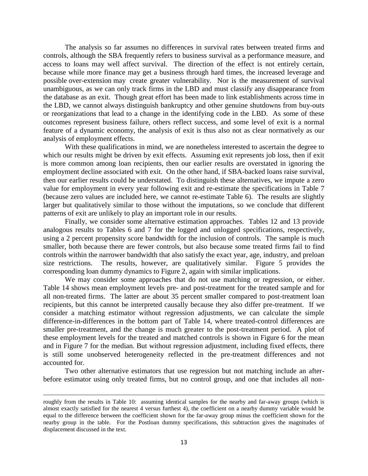The analysis so far assumes no differences in survival rates between treated firms and controls, although the SBA frequently refers to business survival as a performance measure, and access to loans may well affect survival. The direction of the effect is not entirely certain, because while more finance may get a business through hard times, the increased leverage and possible over-extension may create greater vulnerability. Nor is the measurement of survival unambiguous, as we can only track firms in the LBD and must classify any disappearance from the database as an exit. Though great effort has been made to link establishments across time in the LBD, we cannot always distinguish bankruptcy and other genuine shutdowns from buy-outs or reorganizations that lead to a change in the identifying code in the LBD. As some of these outcomes represent business failure, others reflect success, and some level of exit is a normal feature of a dynamic economy, the analysis of exit is thus also not as clear normatively as our analysis of employment effects.

With these qualifications in mind, we are nonetheless interested to ascertain the degree to which our results might be driven by exit effects. Assuming exit represents job loss, then if exit is more common among loan recipients, then our earlier results are overstated in ignoring the employment decline associated with exit. On the other hand, if SBA-backed loans raise survival, then our earlier results could be understated. To distinguish these alternatives, we impute a zero value for employment in every year following exit and re-estimate the specifications in Table 7 (because zero values are included here, we cannot re-estimate Table 6). The results are slightly larger but qualitatively similar to those without the imputations, so we conclude that different patterns of exit are unlikely to play an important role in our results.

Finally, we consider some alternative estimation approaches. Tables 12 and 13 provide analogous results to Tables 6 and 7 for the logged and unlogged specifications, respectively, using a 2 percent propensity score bandwidth for the inclusion of controls. The sample is much smaller, both because there are fewer controls, but also because some treated firms fail to find controls within the narrower bandwidth that also satisfy the exact year, age, industry, and preloan size restrictions. The results, however, are qualitatively similar. Figure 5 provides the corresponding loan dummy dynamics to Figure 2, again with similar implications.

We may consider some approaches that do not use matching or regression, or either. Table 14 shows mean employment levels pre- and post-treatment for the treated sample and for all non-treated firms. The latter are about 35 percent smaller compared to post-treatment loan recipients, but this cannot be interpreted causally because they also differ pre-treatment. If we consider a matching estimator without regression adjustments, we can calculate the simple difference-in-differences in the bottom part of Table 14, where treated-control differences are smaller pre-treatment, and the change is much greater to the post-treatment period. A plot of these employment levels for the treated and matched controls is shown in Figure 6 for the mean and in Figure 7 for the median. But without regression adjustment, including fixed effects, there is still some unobserved heterogeneity reflected in the pre-treatment differences and not accounted for.

Two other alternative estimators that use regression but not matching include an afterbefore estimator using only treated firms, but no control group, and one that includes all non-

 $\overline{a}$ 

roughly from the results in Table 10: assuming identical samples for the nearby and far-away groups (which is almost exactly satisfied for the nearest 4 versus furthest 4), the coefficient on a nearby dummy variable would be equal to the difference between the coefficient shown for the far-away group minus the coefficient shown for the nearby group in the table. For the Postloan dummy specifications, this subtraction gives the magnitudes of displacement discussed in the text.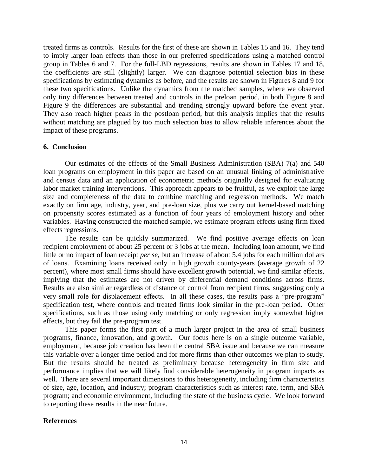treated firms as controls. Results for the first of these are shown in Tables 15 and 16. They tend to imply larger loan effects than those in our preferred specifications using a matched control group in Tables 6 and 7. For the full-LBD regressions, results are shown in Tables 17 and 18, the coefficients are still (slightly) larger. We can diagnose potential selection bias in these specifications by estimating dynamics as before, and the results are shown in Figures 8 and 9 for these two specifications. Unlike the dynamics from the matched samples, where we observed only tiny differences between treated and controls in the preloan period, in both Figure 8 and Figure 9 the differences are substantial and trending strongly upward before the event year. They also reach higher peaks in the postloan period, but this analysis implies that the results without matching are plagued by too much selection bias to allow reliable inferences about the impact of these programs.

#### **6. Conclusion**

Our estimates of the effects of the Small Business Administration (SBA) 7(a) and 540 loan programs on employment in this paper are based on an unusual linking of administrative and census data and an application of econometric methods originally designed for evaluating labor market training interventions. This approach appears to be fruitful, as we exploit the large size and completeness of the data to combine matching and regression methods. We match exactly on firm age, industry, year, and pre-loan size, plus we carry out kernel-based matching on propensity scores estimated as a function of four years of employment history and other variables. Having constructed the matched sample, we estimate program effects using firm fixed effects regressions.

The results can be quickly summarized. We find positive average effects on loan recipient employment of about 25 percent or 3 jobs at the mean. Including loan amount, we find little or no impact of loan receipt *per se*, but an increase of about 5.4 jobs for each million dollars of loans. Examining loans received only in high growth county-years (average growth of 22 percent), where most small firms should have excellent growth potential, we find similar effects, implying that the estimates are not driven by differential demand conditions across firms. Results are also similar regardless of distance of control from recipient firms, suggesting only a very small role for displacement effects. In all these cases, the results pass a "pre-program" specification test, where controls and treated firms look similar in the pre-loan period. Other specifications, such as those using only matching or only regression imply somewhat higher effects, but they fail the pre-program test.

This paper forms the first part of a much larger project in the area of small business programs, finance, innovation, and growth. Our focus here is on a single outcome variable, employment, because job creation has been the central SBA issue and because we can measure this variable over a longer time period and for more firms than other outcomes we plan to study. But the results should be treated as preliminary because heterogeneity in firm size and performance implies that we will likely find considerable heterogeneity in program impacts as well. There are several important dimensions to this heterogeneity, including firm characteristics of size, age, location, and industry; program characteristics such as interest rate, term, and SBA program; and economic environment, including the state of the business cycle. We look forward to reporting these results in the near future.

## **References**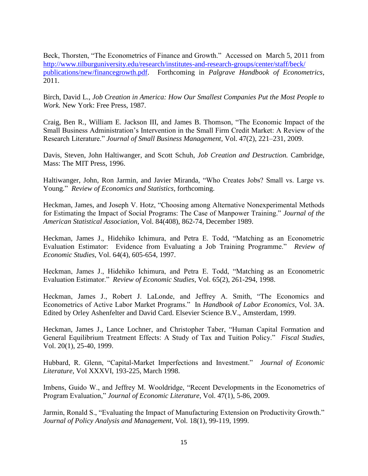Beck, Thorsten, "The Econometrics of Finance and Growth." Accessed on March 5, 2011 from [http://www.tilburguniversity.edu/research/institutes-and-research-groups/center/staff/beck/](http://www.tilburguniversity.edu/research/institutes-and-research-groups/center/staff/beck/%20publications/new/financegrowth.pdf)  [publications/new/financegrowth.pdf.](http://www.tilburguniversity.edu/research/institutes-and-research-groups/center/staff/beck/%20publications/new/financegrowth.pdf) Forthcoming in *Palgrave Handbook of Econometrics*, 2011.

Birch, David L., *Job Creation in America: How Our Smallest Companies Put the Most People to Work.* New York: Free Press, 1987.

Craig, Ben R., William E. Jackson III, and James B. Thomson, "The Economic Impact of the Small Business Administration's Intervention in the Small Firm Credit Market: A Review of the Research Literature." *Journal of Small Business Management*, Vol. 47(2), 221–231, 2009.

Davis, Steven, John Haltiwanger, and Scott Schuh, *Job Creation and Destruction.* Cambridge, Mass: The MIT Press, 1996.

Haltiwanger, John, Ron Jarmin, and Javier Miranda, "Who Creates Jobs? Small vs. Large vs. Young." *Review of Economics and Statistics*, forthcoming.

Heckman, James, and Joseph V. Hotz, "Choosing among Alternative Nonexperimental Methods for Estimating the Impact of Social Programs: The Case of Manpower Training." *Journal of the American Statistical Association*, Vol. 84(408), 862-74, December 1989.

Heckman, James J., Hidehiko Ichimura, and Petra E. Todd, "Matching as an Econometric Evaluation Estimator: Evidence from Evaluating a Job Training Programme." *Review of Economic Studies*, Vol. 64(4), 605-654, 1997.

Heckman, James J., Hidehiko Ichimura, and Petra E. Todd, "Matching as an Econometric Evaluation Estimator." *Review of Economic Studies*, Vol. 65(2), 261-294, 1998.

Heckman, James J., Robert J. LaLonde, and Jeffrey A. Smith, "The Economics and Econometrics of Active Labor Market Programs." In *Handbook of Labor Economics*, Vol. 3A. Edited by Orley Ashenfelter and David Card. Elsevier Science B.V., Amsterdam, 1999.

Heckman, James J., Lance Lochner, and Christopher Taber, "Human Capital Formation and General Equilibrium Treatment Effects: A Study of Tax and Tuition Policy." *Fiscal Studies*, Vol. 20(1), 25-40, 1999.

Hubbard, R. Glenn, "Capital-Market Imperfections and Investment." *Journal of Economic Literature*, Vol XXXVI, 193-225, March 1998.

Imbens, Guido W., and Jeffrey M. Wooldridge, "Recent Developments in the Econometrics of Program Evaluation," *Journal of Economic Literature*, Vol. 47(1), 5-86, 2009.

Jarmin, Ronald S., "Evaluating the Impact of Manufacturing Extension on Productivity Growth." *Journal of Policy Analysis and Management*, Vol. 18(1), 99-119, 1999.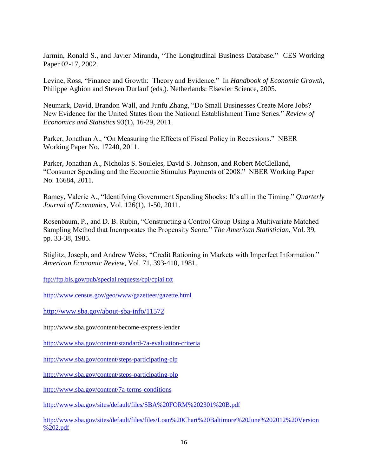Jarmin, Ronald S., and Javier Miranda, "The Longitudinal Business Database*.*"CES Working Paper 02-17, 2002.

Levine, Ross, "Finance and Growth: Theory and Evidence." In *Handbook of Economic Growth*, Philippe Aghion and Steven Durlauf (eds.). Netherlands: Elsevier Science, 2005.

Neumark, David, Brandon Wall, and Junfu Zhang, "Do Small Businesses Create More Jobs? New Evidence for the United States from the National Establishment Time Series." *Review of Economics and Statistics* 93(1), 16-29, 2011.

Parker, Jonathan A., "On Measuring the Effects of Fiscal Policy in Recessions." NBER Working Paper No. 17240, 2011.

Parker, Jonathan A., Nicholas S. Souleles, David S. Johnson, and Robert McClelland, "Consumer Spending and the Economic Stimulus Payments of 2008." NBER Working Paper No. 16684, 2011.

Ramey, Valerie A., "Identifying Government Spending Shocks: It's all in the Timing." *Quarterly Journal of Economics*, Vol. 126(1), 1-50, 2011.

Rosenbaum, P., and D. B. Rubin, "Constructing a Control Group Using a Multivariate Matched Sampling Method that Incorporates the Propensity Score." *The American Statistician*, Vol. 39, pp. 33-38, 1985.

Stiglitz, Joseph, and Andrew Weiss, "Credit Rationing in Markets with Imperfect Information." *American Economic Review*, Vol. 71, 393-410, 1981.

<ftp://ftp.bls.gov/pub/special.requests/cpi/cpiai.txt>

<http://www.census.gov/geo/www/gazetteer/gazette.html>

<http://www.sba.gov/about-sba-info/11572>

<http://www.sba.gov/content/become-express-lender>

<http://www.sba.gov/content/standard-7a-evaluation-criteria>

<http://www.sba.gov/content/steps-participating-clp>

<http://www.sba.gov/content/steps-participating-plp>

<http://www.sba.gov/content/7a-terms-conditions>

<http://www.sba.gov/sites/default/files/SBA%20FORM%202301%20B.pdf>

[http://www.sba.gov/sites/default/files/files/Loan%20Chart%20Baltimore%20June%202012%20Version](http://www.sba.gov/sites/default/files/files/Loan%20Chart%20Baltimore%20June%202012%20Version%202.pdf) [%202.pdf](http://www.sba.gov/sites/default/files/files/Loan%20Chart%20Baltimore%20June%202012%20Version%202.pdf)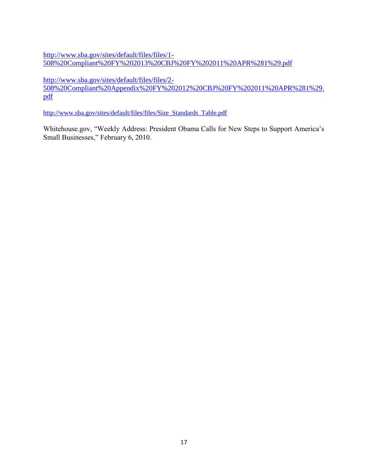[http://www.sba.gov/sites/default/files/files/1-](http://www.sba.gov/sites/default/files/files/1-508%20Compliant%20FY%202013%20CBJ%20FY%202011%20APR%281%29.pdf) [508%20Compliant%20FY%202013%20CBJ%20FY%202011%20APR%281%29.pdf](http://www.sba.gov/sites/default/files/files/1-508%20Compliant%20FY%202013%20CBJ%20FY%202011%20APR%281%29.pdf)

[http://www.sba.gov/sites/default/files/files/2-](http://www.sba.gov/sites/default/files/files/2-508%20Compliant%20Appendix%20FY%202012%20CBJ%20FY%202011%20APR%281%29.pdf)

[508%20Compliant%20Appendix%20FY%202012%20CBJ%20FY%202011%20APR%281%29.](http://www.sba.gov/sites/default/files/files/2-508%20Compliant%20Appendix%20FY%202012%20CBJ%20FY%202011%20APR%281%29.pdf) [pdf](http://www.sba.gov/sites/default/files/files/2-508%20Compliant%20Appendix%20FY%202012%20CBJ%20FY%202011%20APR%281%29.pdf)

[http://www.sba.gov/sites/default/files/files/Size\\_Standards\\_Table.pdf](http://www.sba.gov/sites/default/files/files/Size_Standards_Table.pdf)

Whitehouse.gov, "Weekly Address: President Obama Calls for New Steps to Support America's Small Businesses," February 6, 2010.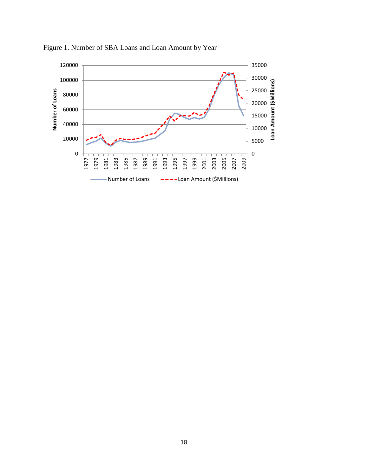

Figure 1. Number of SBA Loans and Loan Amount by Year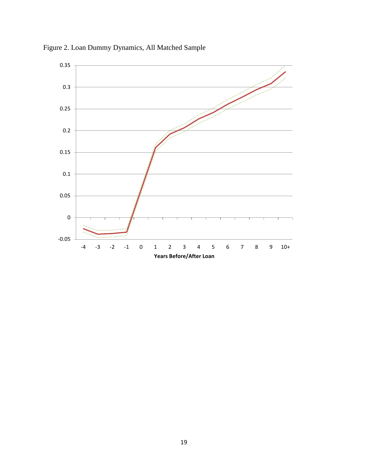

Figure 2. Loan Dummy Dynamics, All Matched Sample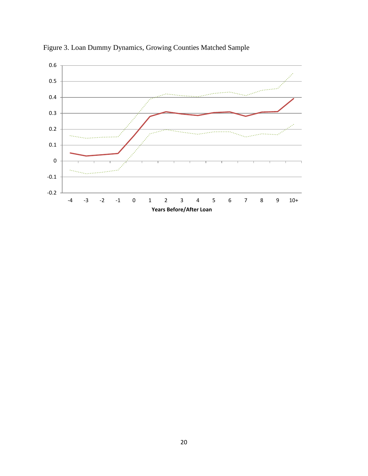

Figure 3. Loan Dummy Dynamics, Growing Counties Matched Sample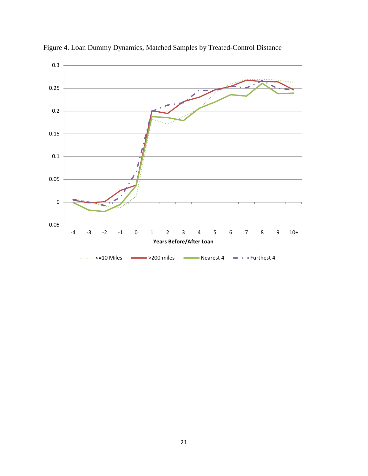

Figure 4. Loan Dummy Dynamics, Matched Samples by Treated-Control Distance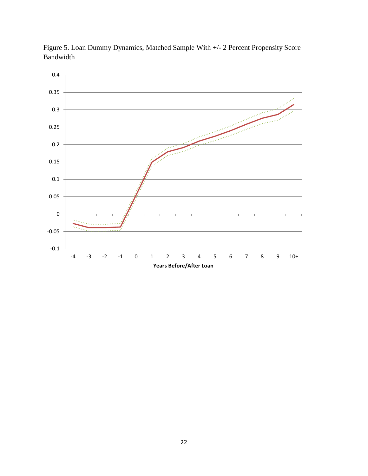

Figure 5. Loan Dummy Dynamics, Matched Sample With +/- 2 Percent Propensity Score Bandwidth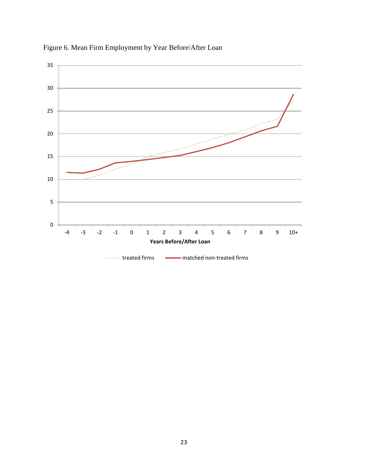

Figure 6. Mean Firm Employment by Year Before/After Loan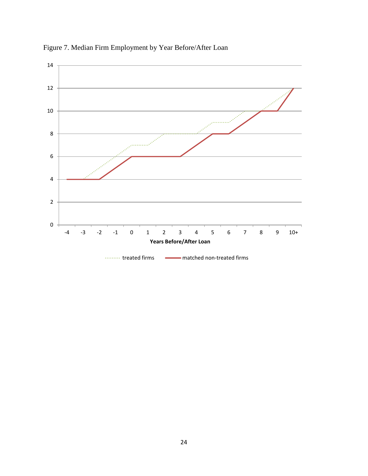

Figure 7. Median Firm Employment by Year Before/After Loan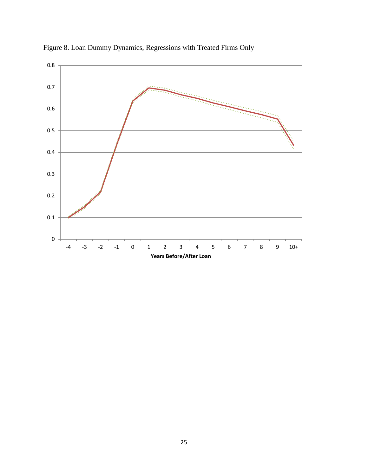

Figure 8. Loan Dummy Dynamics, Regressions with Treated Firms Only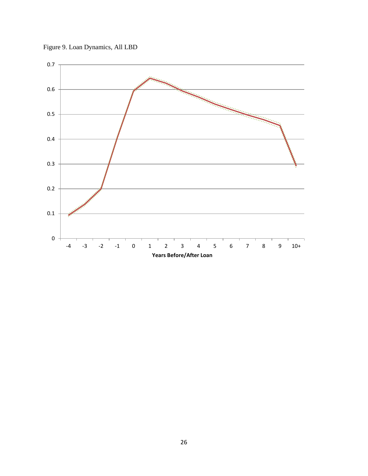

Figure 9. Loan Dynamics, All LBD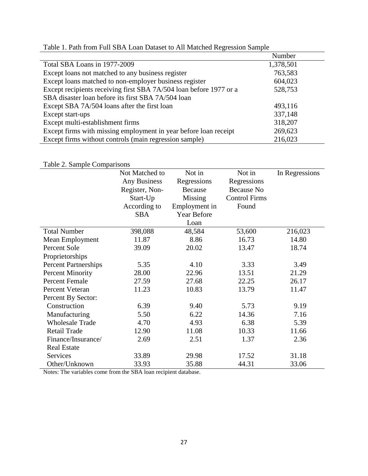|                                                                    | Number    |
|--------------------------------------------------------------------|-----------|
| Total SBA Loans in 1977-2009                                       | 1,378,501 |
| Except loans not matched to any business register                  | 763,583   |
| Except loans matched to non-employer business register             | 604,023   |
| Except recipients receiving first SBA 7A/504 loan before 1977 or a | 528,753   |
| SBA disaster loan before its first SBA 7A/504 loan                 |           |
| Except SBA 7A/504 loans after the first loan                       | 493,116   |
| Except start-ups                                                   | 337,148   |
| Except multi-establishment firms                                   | 318,207   |
| Except firms with missing employment in year before loan receipt   | 269,623   |
| Except firms without controls (main regression sample)             | 216,023   |

# Table 1. Path from Full SBA Loan Dataset to All Matched Regression Sample

## Table 2. Sample Comparisons

|                             | Not Matched to      | Not in        | Not in               | In Regressions |
|-----------------------------|---------------------|---------------|----------------------|----------------|
|                             | <b>Any Business</b> | Regressions   | Regressions          |                |
|                             | Register, Non-      | Because       | <b>Because No</b>    |                |
|                             | Start-Up            | Missing       | <b>Control Firms</b> |                |
|                             | According to        | Employment in | Found                |                |
|                             | <b>SBA</b>          | Year Before   |                      |                |
|                             |                     | Loan          |                      |                |
| <b>Total Number</b>         | 398,088             | 48,584        | 53,600               | 216,023        |
| Mean Employment             | 11.87               | 8.86          | 16.73                | 14.80          |
| Percent Sole                | 39.09               | 20.02         | 13.47                | 18.74          |
| Proprietorships             |                     |               |                      |                |
| <b>Percent Partnerships</b> | 5.35                | 4.10          | 3.33                 | 3.49           |
| <b>Percent Minority</b>     | 28.00               | 22.96         | 13.51                | 21.29          |
| <b>Percent Female</b>       | 27.59               | 27.68         | 22.25                | 26.17          |
| Percent Veteran             | 11.23               | 10.83         | 13.79                | 11.47          |
| Percent By Sector:          |                     |               |                      |                |
| Construction                | 6.39                | 9.40          | 5.73                 | 9.19           |
| Manufacturing               | 5.50                | 6.22          | 14.36                | 7.16           |
| <b>Wholesale Trade</b>      | 4.70                | 4.93          | 6.38                 | 5.39           |
| Retail Trade                | 12.90               | 11.08         | 10.33                | 11.66          |
| Finance/Insurance/          | 2.69                | 2.51          | 1.37                 | 2.36           |
| <b>Real Estate</b>          |                     |               |                      |                |
| Services                    | 33.89               | 29.98         | 17.52                | 31.18          |
| Other/Unknown               | 33.93               | 35.88         | 44.31                | 33.06          |

Notes: The variables come from the SBA loan recipient database.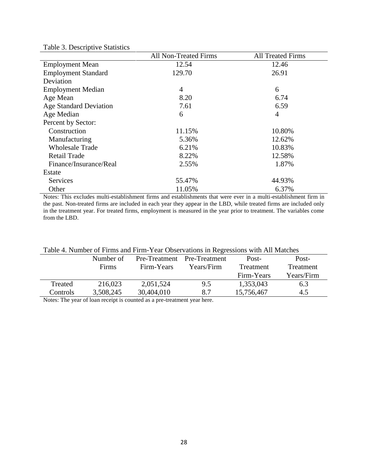|                               | All Non-Treated Firms | <b>All Treated Firms</b> |
|-------------------------------|-----------------------|--------------------------|
| <b>Employment Mean</b>        | 12.54                 | 12.46                    |
| <b>Employment Standard</b>    | 129.70                | 26.91                    |
| Deviation                     |                       |                          |
| <b>Employment Median</b>      | 4                     | 6                        |
| Age Mean                      | 8.20                  | 6.74                     |
| <b>Age Standard Deviation</b> | 7.61                  | 6.59                     |
| Age Median                    | 6                     | 4                        |
| Percent by Sector:            |                       |                          |
| Construction                  | 11.15%                | 10.80%                   |
| Manufacturing                 | 5.36%                 | 12.62%                   |
| <b>Wholesale Trade</b>        | 6.21%                 | 10.83%                   |
| <b>Retail Trade</b>           | 8.22%                 | 12.58%                   |
| Finance/Insurance/Real        | 2.55%                 | 1.87%                    |
| Estate                        |                       |                          |
| <b>Services</b>               | 55.47%                | 44.93%                   |
| Other                         | 11.05%                | 6.37%                    |

Table 3. Descriptive Statistics

Notes: This excludes multi-establishment firms and establishments that were ever in a multi-establishment firm in the past. Non-treated firms are included in each year they appear in the LBD, while treated firms are included only in the treatment year. For treated firms, employment is measured in the year prior to treatment. The variables come from the LBD.

|          | TWIN 1. I WILLOW OF FILMING WIN I THILL I ONLY OUGOI PRINCIPIS III I CONTOHIS WITH THE IMMORDS |               |               |            |            |  |  |  |
|----------|------------------------------------------------------------------------------------------------|---------------|---------------|------------|------------|--|--|--|
|          | Number of                                                                                      | Pre-Treatment | Pre-Treatment | Post-      | Post-      |  |  |  |
|          | Firms                                                                                          | Firm-Years    | Years/Firm    | Treatment  | Treatment  |  |  |  |
|          |                                                                                                |               |               | Firm-Years | Years/Firm |  |  |  |
| Treated  | 216,023                                                                                        | 2,051,524     | 9.5           | 1,353,043  | 6.3        |  |  |  |
| Controls | 3,508,245                                                                                      | 30,404,010    | 8.7           | 15,756,467 | 4.5        |  |  |  |
|          |                                                                                                |               |               |            |            |  |  |  |

## Table 4. Number of Firms and Firm-Year Observations in Regressions with All Matches

Notes: The year of loan receipt is counted as a pre-treatment year here.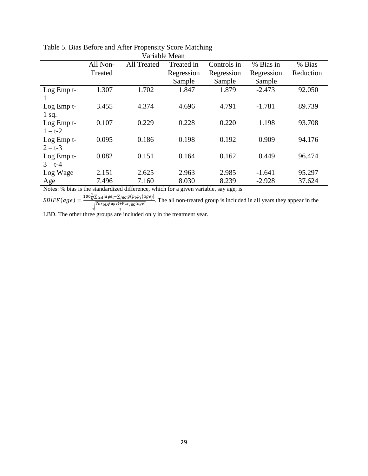|               |               | Table 5. Dias Deroic and After I repensity Score Matering |            |             |            |           |  |  |
|---------------|---------------|-----------------------------------------------------------|------------|-------------|------------|-----------|--|--|
|               | Variable Mean |                                                           |            |             |            |           |  |  |
|               | All Non-      | <b>All Treated</b>                                        | Treated in | Controls in | % Bias in  | % Bias    |  |  |
|               | Treated       |                                                           | Regression | Regression  | Regression | Reduction |  |  |
|               |               |                                                           | Sample     | Sample      | Sample     |           |  |  |
| Log Emp t-    | 1.307         | 1.702                                                     | 1.847      | 1.879       | $-2.473$   | 92.050    |  |  |
|               |               |                                                           |            |             |            |           |  |  |
| $Log Emp t$ - | 3.455         | 4.374                                                     | 4.696      | 4.791       | $-1.781$   | 89.739    |  |  |
| $1$ sq.       |               |                                                           |            |             |            |           |  |  |
| Log Emp t-    | 0.107         | 0.229                                                     | 0.228      | 0.220       | 1.198      | 93.708    |  |  |
| $1 - t - 2$   |               |                                                           |            |             |            |           |  |  |
| Log Emp t-    | 0.095         | 0.186                                                     | 0.198      | 0.192       | 0.909      | 94.176    |  |  |
| $2 - t - 3$   |               |                                                           |            |             |            |           |  |  |
| Log Emp t-    | 0.082         | 0.151                                                     | 0.164      | 0.162       | 0.449      | 96.474    |  |  |
| $3 - t - 4$   |               |                                                           |            |             |            |           |  |  |
| Log Wage      | 2.151         | 2.625                                                     | 2.963      | 2.985       | $-1.641$   | 95.297    |  |  |
| Age           | 7.496         | 7.160                                                     | 8.030      | 8.239       | $-2.928$   | 37.624    |  |  |

| Table 5. Bias Before and After Propensity Score Matching |  |  |  |  |
|----------------------------------------------------------|--|--|--|--|
|                                                          |  |  |  |  |

Notes: % bias is the standardized difference, which for a given variable, say age, is

 $SDIFF(age) = \frac{100\frac{1}{N}\sum_{i \in A}[age_i - \sum_{j \in C} g(p_i, p_j)age_j]}{N_{CMB}[(case), (see), (see)]}$  $Var_{i \in A}(age) + Var_{j \in C}(age)$  $\overline{\mathbf{c}}$ . The all non-treated group is included in all years they appear in the

LBD. The other three groups are included only in the treatment year.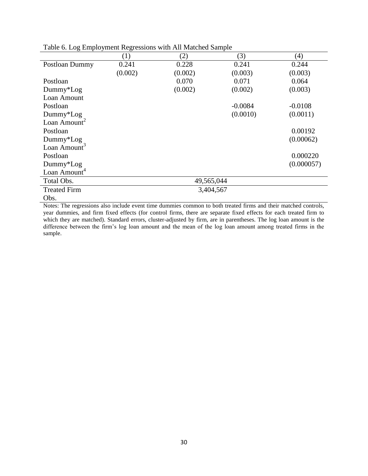|                          |         | acre of Eugenbro finem regressions while the transment sumple |           |            |
|--------------------------|---------|---------------------------------------------------------------|-----------|------------|
|                          | (1)     | (2)                                                           | (3)       | (4)        |
| Postloan Dummy           | 0.241   | 0.228                                                         | 0.241     | 0.244      |
|                          | (0.002) | (0.002)                                                       | (0.003)   | (0.003)    |
| Postloan                 |         | 0.070                                                         | 0.071     | 0.064      |
| $Dummy*Log$              |         | (0.002)                                                       | (0.002)   | (0.003)    |
| Loan Amount              |         |                                                               |           |            |
| Postloan                 |         |                                                               | $-0.0084$ | $-0.0108$  |
| Dummy*Log                |         |                                                               | (0.0010)  | (0.0011)   |
| Loan Amount <sup>2</sup> |         |                                                               |           |            |
| Postloan                 |         |                                                               |           | 0.00192    |
| $Dummy*Log$              |         |                                                               |           | (0.00062)  |
| Loan Amount <sup>3</sup> |         |                                                               |           |            |
| Postloan                 |         |                                                               |           | 0.000220   |
| Dummy*Log                |         |                                                               |           | (0.000057) |
| Loan Amount <sup>4</sup> |         |                                                               |           |            |
| Total Obs.               |         | 49,565,044                                                    |           |            |
| <b>Treated Firm</b>      |         | 3,404,567                                                     |           |            |
| Obs.                     |         |                                                               |           |            |

Table 6. Log Employment Regressions with All Matched Sample

Notes: The regressions also include event time dummies common to both treated firms and their matched controls, year dummies, and firm fixed effects (for control firms, there are separate fixed effects for each treated firm to which they are matched). Standard errors, cluster-adjusted by firm, are in parentheses. The log loan amount is the difference between the firm's log loan amount and the mean of the log loan amount among treated firms in the sample.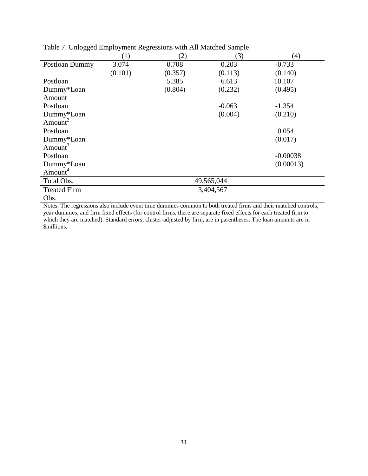| ں                   |         |         |            |            |
|---------------------|---------|---------|------------|------------|
|                     | (1)     | (2)     | (3)        | (4)        |
| Postloan Dummy      | 3.074   | 0.708   | 0.203      | $-0.733$   |
|                     | (0.101) | (0.357) | (0.113)    | (0.140)    |
| Postloan            |         | 5.385   | 6.613      | 10.107     |
| Dummy*Loan          |         | (0.804) | (0.232)    | (0.495)    |
| Amount              |         |         |            |            |
| Postloan            |         |         | $-0.063$   | $-1.354$   |
| Dummy*Loan          |         |         | (0.004)    | (0.210)    |
| Amount <sup>2</sup> |         |         |            |            |
| Postloan            |         |         |            | 0.054      |
| Dummy*Loan          |         |         |            | (0.017)    |
| Amount <sup>3</sup> |         |         |            |            |
| Postloan            |         |         |            | $-0.00038$ |
| Dummy*Loan          |         |         |            | (0.00013)  |
| Amount <sup>4</sup> |         |         |            |            |
| Total Obs.          |         |         | 49,565,044 |            |
| <b>Treated Firm</b> |         |         | 3,404,567  |            |
| Obs.                |         |         |            |            |

Table 7. Unlogged Employment Regressions with All Matched Sample

Notes: The regressions also include event time dummies common to both treated firms and their matched controls, year dummies, and firm fixed effects (for control firms, there are separate fixed effects for each treated firm to which they are matched). Standard errors, cluster-adjusted by firm, are in parentheses. The loan amounts are in \$millions.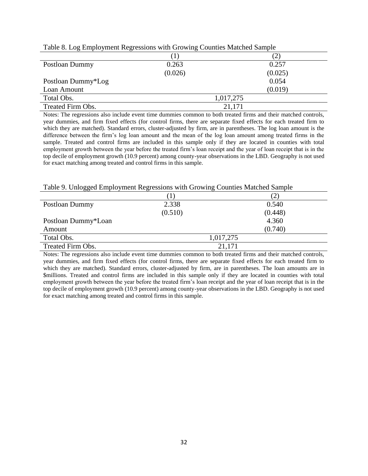| Tuere of Log Linprogramm regressions with Growing countries materied bumple |         |           |  |  |  |
|-----------------------------------------------------------------------------|---------|-----------|--|--|--|
|                                                                             |         |           |  |  |  |
| Postloan Dummy                                                              | 0.263   | 0.257     |  |  |  |
|                                                                             | (0.026) | (0.025)   |  |  |  |
| Postloan Dummy*Log                                                          |         | 0.054     |  |  |  |
| Loan Amount                                                                 |         | (0.019)   |  |  |  |
| Total Obs.                                                                  |         | 1,017,275 |  |  |  |
| Treated Firm Obs.                                                           |         | 21,171    |  |  |  |

Table 8. Log Employment Regressions with Growing Counties Matched Sample

Notes: The regressions also include event time dummies common to both treated firms and their matched controls, year dummies, and firm fixed effects (for control firms, there are separate fixed effects for each treated firm to which they are matched). Standard errors, cluster-adjusted by firm, are in parentheses. The log loan amount is the difference between the firm's log loan amount and the mean of the log loan amount among treated firms in the sample. Treated and control firms are included in this sample only if they are located in counties with total employment growth between the year before the treated firm's loan receipt and the year of loan receipt that is in the top decile of employment growth (10.9 percent) among county-year observations in the LBD. Geography is not used for exact matching among treated and control firms in this sample.

#### Table 9. Unlogged Employment Regressions with Growing Counties Matched Sample

| ັັ                  |         |           |  |
|---------------------|---------|-----------|--|
|                     |         |           |  |
| Postloan Dummy      | 2.338   | 0.540     |  |
|                     | (0.510) | (0.448)   |  |
| Postloan Dummy*Loan |         | 4.360     |  |
| Amount              |         | (0.740)   |  |
| Total Obs.          |         | 1,017,275 |  |
| Treated Firm Obs.   |         | 21,171    |  |

Notes: The regressions also include event time dummies common to both treated firms and their matched controls, year dummies, and firm fixed effects (for control firms, there are separate fixed effects for each treated firm to which they are matched). Standard errors, cluster-adjusted by firm, are in parentheses. The loan amounts are in \$millions. Treated and control firms are included in this sample only if they are located in counties with total employment growth between the year before the treated firm's loan receipt and the year of loan receipt that is in the top decile of employment growth (10.9 percent) among county-year observations in the LBD. Geography is not used for exact matching among treated and control firms in this sample.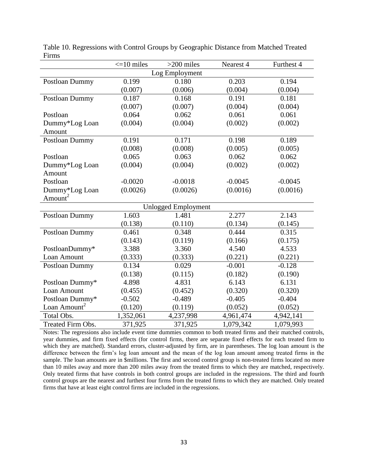|                          | $\leq$ 10 miles | $>200$ miles               | Nearest 4 | Furthest 4 |
|--------------------------|-----------------|----------------------------|-----------|------------|
|                          |                 | Log Employment             |           |            |
| Postloan Dummy           | 0.199           | 0.180                      | 0.203     | 0.194      |
|                          | (0.007)         | (0.006)                    | (0.004)   | (0.004)    |
| Postloan Dummy           | 0.187           | 0.168                      | 0.191     | 0.181      |
|                          | (0.007)         | (0.007)                    | (0.004)   | (0.004)    |
| Postloan                 | 0.064           | 0.062                      | 0.061     | 0.061      |
| Dummy*Log Loan           | (0.004)         | (0.004)                    | (0.002)   | (0.002)    |
| Amount                   |                 |                            |           |            |
| Postloan Dummy           | 0.191           | 0.171                      | 0.198     | 0.189      |
|                          | (0.008)         | (0.008)                    | (0.005)   | (0.005)    |
| Postloan                 | 0.065           | 0.063                      | 0.062     | 0.062      |
| Dummy*Log Loan           | (0.004)         | (0.004)                    | (0.002)   | (0.002)    |
| Amount                   |                 |                            |           |            |
| Postloan                 | $-0.0020$       | $-0.0018$                  | $-0.0045$ | $-0.0045$  |
| Dummy*Log Loan           | (0.0026)        | (0.0026)                   | (0.0016)  | (0.0016)   |
| Amount <sup>2</sup>      |                 |                            |           |            |
|                          |                 | <b>Unlogged Employment</b> |           |            |
| Postloan Dummy           | 1.603           | 1.481                      | 2.277     | 2.143      |
|                          | (0.138)         | (0.110)                    | (0.134)   | (0.145)    |
| Postloan Dummy           | 0.461           | 0.348                      | 0.444     | 0.315      |
|                          | (0.143)         | (0.119)                    | (0.166)   | (0.175)    |
| PostloanDummy*           | 3.388           | 3.360                      | 4.540     | 4.533      |
| Loan Amount              | (0.333)         | (0.333)                    | (0.221)   | (0.221)    |
| Postloan Dummy           | 0.134           | 0.029                      | $-0.001$  | $-0.128$   |
|                          | (0.138)         | (0.115)                    | (0.182)   | (0.190)    |
| Postloan Dummy*          | 4.898           | 4.831                      | 6.143     | 6.131      |
| Loan Amount              | (0.455)         | (0.452)                    | (0.320)   | (0.320)    |
| Postloan Dummy*          | $-0.502$        | $-0.489$                   | $-0.405$  | $-0.404$   |
| Loan Amount <sup>2</sup> | (0.120)         | (0.119)                    | (0.052)   | (0.052)    |
| Total Obs.               | 1,352,061       | 4,237,998                  | 4,961,474 | 4,942,141  |
| Treated Firm Obs.        | 371,925         | 371,925                    | 1,079,342 | 1,079,993  |

Table 10. Regressions with Control Groups by Geographic Distance from Matched Treated Firms

Notes: The regressions also include event time dummies common to both treated firms and their matched controls, year dummies, and firm fixed effects (for control firms, there are separate fixed effects for each treated firm to which they are matched). Standard errors, cluster-adjusted by firm, are in parentheses. The log loan amount is the difference between the firm's log loan amount and the mean of the log loan amount among treated firms in the sample. The loan amounts are in \$millions. The first and second control group is non-treated firms located no more than 10 miles away and more than 200 miles away from the treated firms to which they are matched, respectively. Only treated firms that have controls in both control groups are included in the regressions. The third and fourth control groups are the nearest and furthest four firms from the treated firms to which they are matched. Only treated firms that have at least eight control firms are included in the regressions.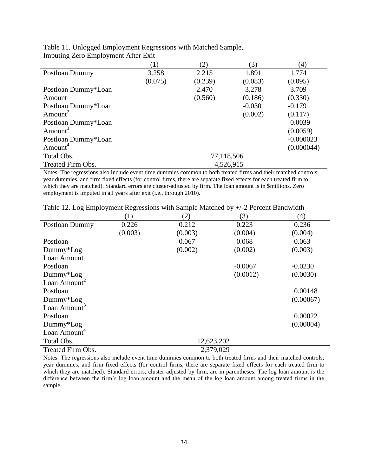|                     |            | (2)     | (3)       | (4)         |  |
|---------------------|------------|---------|-----------|-------------|--|
| Postloan Dummy      | 3.258      | 2.215   | 1.891     | 1.774       |  |
|                     | (0.075)    | (0.239) | (0.083)   | (0.095)     |  |
| Postloan Dummy*Loan |            | 2.470   | 3.278     | 3.709       |  |
| Amount              |            | (0.560) | (0.186)   | (0.330)     |  |
| Postloan Dummy*Loan |            |         | $-0.030$  | $-0.179$    |  |
| Amount <sup>2</sup> |            |         | (0.002)   | (0.117)     |  |
| Postloan Dummy*Loan |            |         |           | 0.0039      |  |
| Amount <sup>3</sup> |            |         |           | (0.0059)    |  |
| Postloan Dummy*Loan |            |         |           | $-0.000023$ |  |
| Amount <sup>4</sup> |            |         |           | (0.000044)  |  |
| Total Obs.          | 77,118,506 |         |           |             |  |
| Treated Firm Obs.   |            |         | 4,526,915 |             |  |

Table 11. Unlogged Employment Regressions with Matched Sample, Imputing Zero Employment After Exit

Notes: The regressions also include event time dummies common to both treated firms and their matched controls, year dummies, and firm fixed effects (for control firms, there are separate fixed effects for each treated firm to which they are matched). Standard errors are cluster-adjusted by firm. The loan amount is in \$millions. Zero employment is imputed in all years after exit (i.e., through 2010).

|  |  |  |  |  |  |  |  | Table 12. Log Employment Regressions with Sample Matched by +/-2 Percent Bandwidth |  |  |
|--|--|--|--|--|--|--|--|------------------------------------------------------------------------------------|--|--|
|  |  |  |  |  |  |  |  |                                                                                    |  |  |

|                          | $\left( 1\right)$ | (2)        | (3)       | (4)       |
|--------------------------|-------------------|------------|-----------|-----------|
| Postloan Dummy           | 0.226             | 0.212      | 0.223     | 0.236     |
|                          | (0.003)           | (0.003)    | (0.004)   | (0.004)   |
| Postloan                 |                   | 0.067      | 0.068     | 0.063     |
| $Dummy*Log$              |                   | (0.002)    | (0.002)   | (0.003)   |
| Loan Amount              |                   |            |           |           |
| Postloan                 |                   |            | $-0.0067$ | $-0.0230$ |
| $Dummy*Log$              |                   |            | (0.0012)  | (0.0030)  |
| Loan Amount <sup>2</sup> |                   |            |           |           |
| Postloan                 |                   |            |           | 0.00148   |
| Dummy*Log                |                   |            |           | (0.00067) |
| Loan Amount <sup>3</sup> |                   |            |           |           |
| Postloan                 |                   |            |           | 0.00022   |
| $Dummy*Log$              |                   |            |           | (0.00004) |
| Loan Amount <sup>4</sup> |                   |            |           |           |
| Total Obs.               |                   | 12,623,202 |           |           |
| Treated Firm Obs.        |                   | 2,379,029  |           |           |

Notes: The regressions also include event time dummies common to both treated firms and their matched controls, year dummies, and firm fixed effects (for control firms, there are separate fixed effects for each treated firm to which they are matched). Standard errors, cluster-adjusted by firm, are in parentheses. The log loan amount is the difference between the firm's log loan amount and the mean of the log loan amount among treated firms in the sample.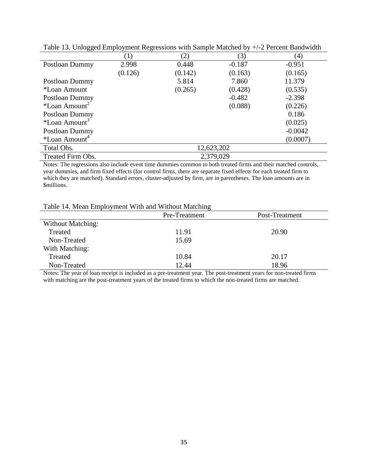| Tuble 15. Chrogged Employment Regressions with bumple materied of |         |               |            | $\mu$ $\mu$ and $\sigma$ and $\sigma$ |
|-------------------------------------------------------------------|---------|---------------|------------|---------------------------------------|
|                                                                   |         | $\mathbf{2})$ | (3)        | (4)                                   |
| Postloan Dummy                                                    | 2.998   | 0.448         | $-0.187$   | $-0.951$                              |
|                                                                   | (0.126) | (0.142)       | (0.163)    | (0.165)                               |
| Postloan Dummy                                                    |         | 5.814         | 7.860      | 11.379                                |
| *Loan Amount                                                      |         | (0.265)       | (0.428)    | (0.535)                               |
| Postloan Dummy                                                    |         |               | $-0.482$   | $-2.398$                              |
| *Loan Amount <sup><math>\angle</math></sup>                       |         |               | (0.088)    | (0.226)                               |
| Postloan Dummy                                                    |         |               |            | 0.186                                 |
| *Loan Amount <sup>3</sup>                                         |         |               |            | (0.025)                               |
| Postloan Dummy                                                    |         |               |            | $-0.0042$                             |
| *Loan Amount <sup>4</sup>                                         |         |               |            | (0.0007)                              |
| Total Obs.                                                        |         |               | 12,623,202 |                                       |
| Treated Firm Obs.                                                 |         |               | 2,379,029  |                                       |

Table 13. Unlogged Employment Regressions with Sample Matched by +/-2 Percent Bandwidth

Notes: The regressions also include event time dummies common to both treated firms and their matched controls, year dummies, and firm fixed effects (for control firms, there are separate fixed effects for each treated firm to which they are matched). Standard errors, cluster-adjusted by firm, are in parentheses. The loan amounts are in \$millions.

## Table 14. Mean Employment With and Without Matching

| Table 1.1. Mean Employment while and while mateming |               |                |
|-----------------------------------------------------|---------------|----------------|
|                                                     | Pre-Treatment | Post-Treatment |
| <b>Without Matching:</b>                            |               |                |
| Treated                                             | 11.91         | 20.90          |
| Non-Treated                                         | 15.69         |                |
| With Matching:                                      |               |                |
| Treated                                             | 10.84         | 20.17          |
| Non-Treated                                         | 12.44         | 18.96          |

Notes: The year of loan receipt is included as a pre-treatment year. The post-treatment years for non-treated firms with matching are the post-treatment years of the treated firms to which the non-treated firms are matched.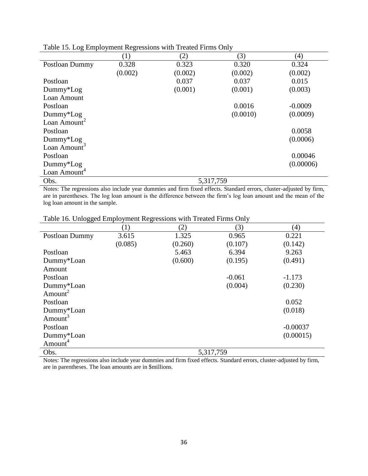| raone 10. 20g 2111pro jihan negressions with 110 |         |           |          |           |
|--------------------------------------------------|---------|-----------|----------|-----------|
|                                                  | (1)     | (2)       | (3)      | (4)       |
| Postloan Dummy                                   | 0.328   | 0.323     | 0.320    | 0.324     |
|                                                  | (0.002) | (0.002)   | (0.002)  | (0.002)   |
| Postloan                                         |         | 0.037     | 0.037    | 0.015     |
| $Dummy*Log$                                      |         | (0.001)   | (0.001)  | (0.003)   |
| Loan Amount                                      |         |           |          |           |
| Postloan                                         |         |           | 0.0016   | $-0.0009$ |
| Dummy*Log                                        |         |           | (0.0010) | (0.0009)  |
| Loan Amount <sup>2</sup>                         |         |           |          |           |
| Postloan                                         |         |           |          | 0.0058    |
| $Dummy*Log$                                      |         |           |          | (0.0006)  |
| Loan Amount <sup>3</sup>                         |         |           |          |           |
| Postloan                                         |         |           |          | 0.00046   |
| $Dummy*Log$                                      |         |           |          | (0.00006) |
| Loan Amount <sup>4</sup>                         |         |           |          |           |
| Obs.                                             |         | 5,317,759 |          |           |

Table 15. Log Employment Regressions with Treated Firms Only

Notes: The regressions also include year dummies and firm fixed effects. Standard errors, cluster-adjusted by firm, are in parentheses. The log loan amount is the difference between the firm's log loan amount and the mean of the log loan amount in the sample.

Table 16. Unlogged Employment Regressions with Treated Firms Only

|                     | $\left(1\right)$ | (2)     | (3)       | (4)        |
|---------------------|------------------|---------|-----------|------------|
| Postloan Dummy      | 3.615            | 1.325   | 0.965     | 0.221      |
|                     | (0.085)          | (0.260) | (0.107)   | (0.142)    |
| Postloan            |                  | 5.463   | 6.394     | 9.263      |
| Dummy*Loan          |                  | (0.600) | (0.195)   | (0.491)    |
| Amount              |                  |         |           |            |
| Postloan            |                  |         | $-0.061$  | $-1.173$   |
| Dummy*Loan          |                  |         | (0.004)   | (0.230)    |
| Amount <sup>2</sup> |                  |         |           |            |
| Postloan            |                  |         |           | 0.052      |
| Dummy*Loan          |                  |         |           | (0.018)    |
| Amount <sup>3</sup> |                  |         |           |            |
| Postloan            |                  |         |           | $-0.00037$ |
| Dummy*Loan          |                  |         |           | (0.00015)  |
| Amount <sup>4</sup> |                  |         |           |            |
| Obs.                |                  |         | 5,317,759 |            |

Notes: The regressions also include year dummies and firm fixed effects. Standard errors, cluster-adjusted by firm, are in parentheses. The loan amounts are in \$millions.